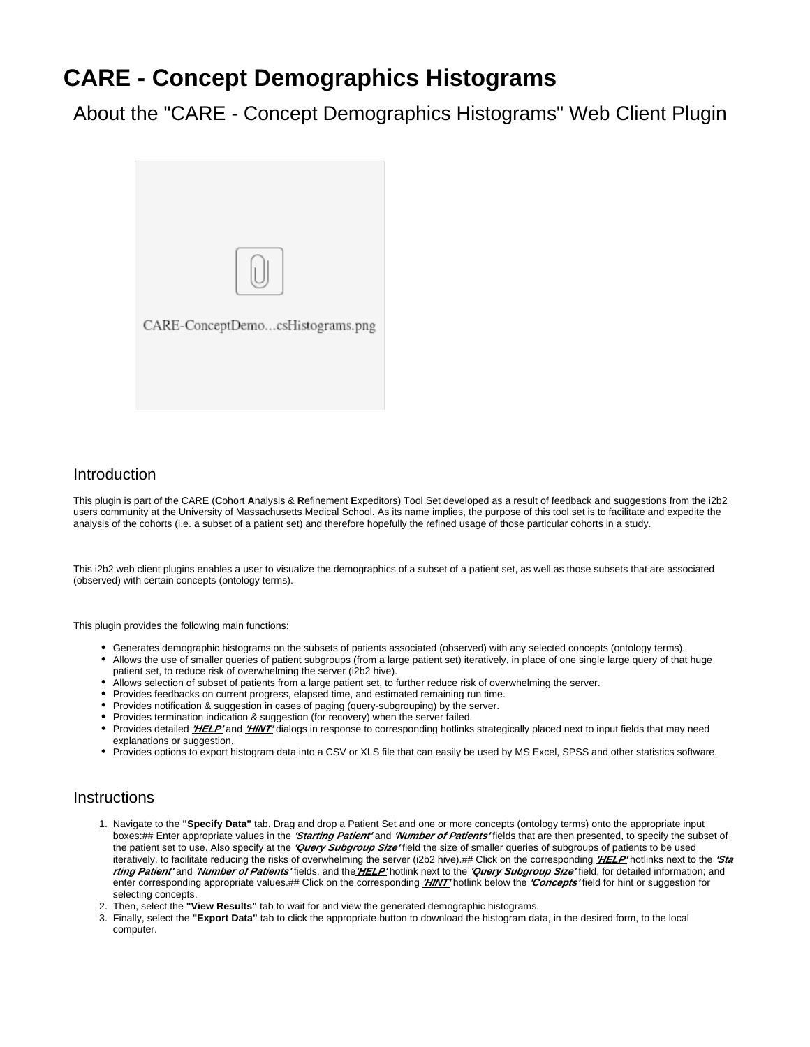# **CARE - Concept Demographics Histograms**

About the "CARE - Concept Demographics Histograms" Web Client Plugin



### **Introduction**

This plugin is part of the CARE (**C**ohort **A**nalysis & **R**efinement **E**xpeditors) Tool Set developed as a result of feedback and suggestions from the i2b2 users community at the University of Massachusetts Medical School. As its name implies, the purpose of this tool set is to facilitate and expedite the analysis of the cohorts (i.e. a subset of a patient set) and therefore hopefully the refined usage of those particular cohorts in a study.

This i2b2 web client plugins enables a user to visualize the demographics of a subset of a patient set, as well as those subsets that are associated (observed) with certain concepts (ontology terms).

This plugin provides the following main functions:

- Generates demographic histograms on the subsets of patients associated (observed) with any selected concepts (ontology terms).
- Allows the use of smaller queries of patient subgroups (from a large patient set) iteratively, in place of one single large query of that huge patient set, to reduce risk of overwhelming the server (i2b2 hive).
- Allows selection of subset of patients from a large patient set, to further reduce risk of overwhelming the server.
- Provides feedbacks on current progress, elapsed time, and estimated remaining run time.
- Provides notification & suggestion in cases of paging (query-subgrouping) by the server.
- Provides termination indication & suggestion (for recovery) when the server failed.
- **•** Provides detailed *'HELP'* and 'HINT' dialogs in response to corresponding hotlinks strategically placed next to input fields that may need explanations or suggestion.
- Provides options to export histogram data into a CSV or XLS file that can easily be used by MS Excel, SPSS and other statistics software.

#### **Instructions**

- 1. Navigate to the **"Specify Data"** tab. Drag and drop a Patient Set and one or more concepts (ontology terms) onto the appropriate input boxes:## Enter appropriate values in the **'Starting Patient'** and **'Number of Patients'** fields that are then presented, to specify the subset of the patient set to use. Also specify at the **'Query Subgroup Size'** field the size of smaller queries of subgroups of patients to be used iteratively, to facilitate reducing the risks of overwhelming the server (i2b2 hive).## Click on the corresponding **'HELP'** hotlinks next to the **'Sta rting Patient'** and **'Number of Patients'** fields, and the**'HELP'** hotlink next to the **'Query Subgroup Size'** field, for detailed information; and enter corresponding appropriate values.## Click on the corresponding **'HINT'** hotlink below the 'Concepts' field for hint or suggestion for selecting concepts.
- 2. Then, select the **"View Results"** tab to wait for and view the generated demographic histograms.
- 3. Finally, select the **"Export Data"** tab to click the appropriate button to download the histogram data, in the desired form, to the local computer.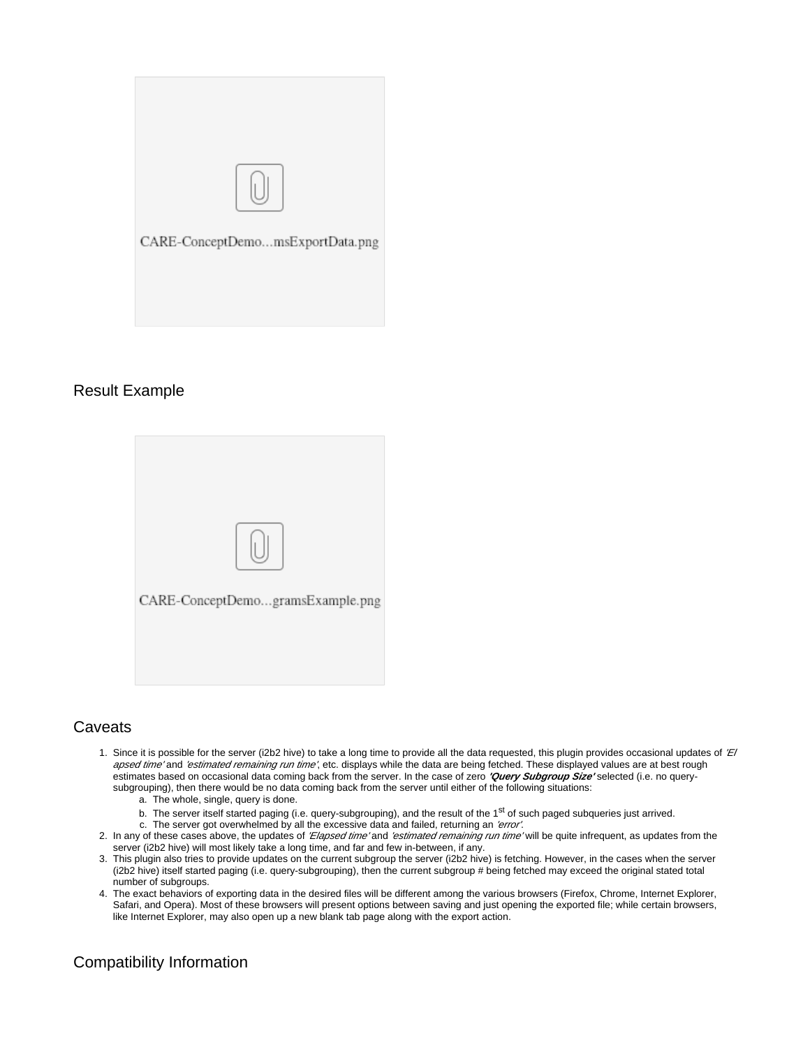

### Result Example



# **Caveats**

- 1. Since it is possible for the server (i2b2 hive) to take a long time to provide all the data requested, this plugin provides occasional updates of 'El apsed time' and 'estimated remaining run time', etc. displays while the data are being fetched. These displayed values are at best rough estimates based on occasional data coming back from the server. In the case of zero **'Query Subgroup Size'** selected (i.e. no querysubgrouping), then there would be no data coming back from the server until either of the following situations:
	- a. The whole, single, query is done.
	- b. The server itself started paging (i.e. query-subgrouping), and the result of the 1<sup>st</sup> of such paged subqueries just arrived.
- c. The server got overwhelmed by all the excessive data and failed, returning an 'error'. 2. In any of these cases above, the updates of *'Elapsed time'* and *'estimated remaining run time'* will be quite infrequent, as updates from the server (i2b2 hive) will most likely take a long time, and far and few in-between, if any.
- 3. This plugin also tries to provide updates on the current subgroup the server (i2b2 hive) is fetching. However, in the cases when the server (i2b2 hive) itself started paging (i.e. query-subgrouping), then the current subgroup # being fetched may exceed the original stated total number of subgroups.
- 4. The exact behaviors of exporting data in the desired files will be different among the various browsers (Firefox, Chrome, Internet Explorer, Safari, and Opera). Most of these browsers will present options between saving and just opening the exported file; while certain browsers, like Internet Explorer, may also open up a new blank tab page along with the export action.

# Compatibility Information